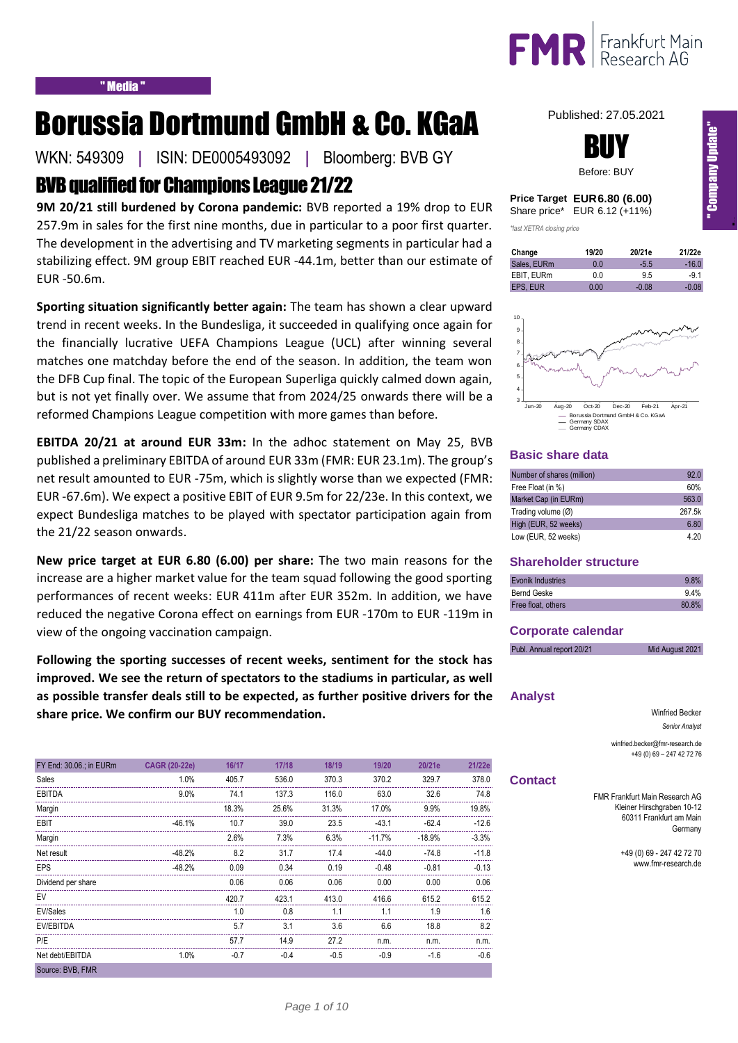

# Borussia Dortmund GmbH & Co. KGaA

WKN: 549309 **|** ISIN: DE0005493092 **|** Bloomberg: BVB GY

## BVB qualified for Champions League 21/22

**9M 20/21 still burdened by Corona pandemic:** BVB reported a 19% drop to EUR 257.9m in sales for the first nine months, due in particular to a poor first quarter. The development in the advertising and TV marketing segments in particular had a stabilizing effect. 9M group EBIT reached EUR -44.1m, better than our estimate of EUR -50.6m.

**Sporting situation significantly better again:** The team has shown a clear upward trend in recent weeks. In the Bundesliga, it succeeded in qualifying once again for the financially lucrative UEFA Champions League (UCL) after winning several matches one matchday before the end of the season. In addition, the team won the DFB Cup final. The topic of the European Superliga quickly calmed down again, but is not yet finally over. We assume that from 2024/25 onwards there will be a reformed Champions League competition with more games than before.

**EBITDA 20/21 at around EUR 33m:** In the adhoc statement on May 25, BVB published a preliminary EBITDA of around EUR 33m (FMR: EUR 23.1m). The group's net result amounted to EUR -75m, which is slightly worse than we expected (FMR: EUR -67.6m). We expect a positive EBIT of EUR 9.5m for 22/23e. In this context, we expect Bundesliga matches to be played with spectator participation again from the 21/22 season onwards.

**New price target at EUR 6.80 (6.00) per share:** The two main reasons for the increase are a higher market value for the team squad following the good sporting performances of recent weeks: EUR 411m after EUR 352m. In addition, we have reduced the negative Corona effect on earnings from EUR -170m to EUR -119m in view of the ongoing vaccination campaign.

**Following the sporting successes of recent weeks, sentiment for the stock has improved. We see the return of spectators to the stadiums in particular, as well as possible transfer deals still to be expected, as further positive drivers for the share price. We confirm our BUY recommendation.** 

| FY End: 30.06.; in EURm | <b>CAGR (20-22e)</b> | 16/17  | 17/18  | 18/19  | 19/20    | 20/21e   | 21/22e  |
|-------------------------|----------------------|--------|--------|--------|----------|----------|---------|
| Sales                   | 1.0%                 | 405.7  | 536.0  | 370.3  | 370.2    | 329.7    | 378.0   |
| <b>EBITDA</b>           | 9.0%                 | 74.1   | 137.3  | 116.0  | 63.0     | 32.6     | 74.8    |
| Margin                  |                      | 18.3%  | 25.6%  | 31.3%  | 17.0%    | 9.9%     | 19.8%   |
| <b>EBIT</b>             | $-46.1%$             | 10.7   | 39.0   | 23.5   | $-43.1$  | $-62.4$  | $-12.6$ |
| Margin                  |                      | 2.6%   | 7.3%   | 6.3%   | $-11.7%$ | $-18.9%$ | $-3.3%$ |
| Net result              | $-48.2%$             | 8.2    | 31.7   | 17.4   | $-44.0$  | $-74.8$  | $-11.8$ |
| <b>EPS</b>              | $-48.2%$             | 0.09   | 0.34   | 0.19   | $-0.48$  | $-0.81$  | $-0.13$ |
| Dividend per share      |                      | 0.06   | 0.06   | 0.06   | 0.00     | 0.00     | 0.06    |
| EV                      |                      | 420.7  | 423.1  | 413.0  | 416.6    | 615.2    | 615.2   |
| EV/Sales                |                      | 1.0    | 0.8    | 1.1    | 1.1      | 1.9      | 1.6     |
| EV/EBITDA               |                      | 5.7    | 3.1    | 3.6    | 6.6      | 18.8     | 8.2     |
| P/E                     |                      | 57.7   | 14.9   | 27.2   | n.m.     | n.m.     | n.m.    |
| Net debt/EBITDA         | 1.0%                 | $-0.7$ | $-0.4$ | $-0.5$ | $-0.9$   | $-1.6$   | $-0.6$  |
| Source: BVB, FMR        |                      |        |        |        |          |          |         |

Published: 27.05.2021



|              | Price Target EUR 6.80 (6.00) |
|--------------|------------------------------|
| Share price* | EUR 6.12 (+11%)              |

*\*last XETRA closing price*

| Change      | 19/20 | 20/21e  | 21/22e  |
|-------------|-------|---------|---------|
| Sales, EURm | 0 O   | $-5.5$  | $-16.0$ |
| EBIT. EURm  | 0.0   | 9.5     | $-91$   |
| EPS. EUR    | 0.00  | $-0.08$ | $-0.08$ |



## **Basic share data**

| Number of shares (million) | 92.0   |
|----------------------------|--------|
| Free Float (in %)          | 60%    |
| Market Cap (in EURm)       | 563.0  |
| Trading volume (Ø)         | 267.5k |
| High (EUR, 52 weeks)       | 6.80   |
| Low (EUR, 52 weeks)        | 4.20   |

## **Shareholder structure**

| Evonik Industries  | 9.8%  |
|--------------------|-------|
| Bernd Geske        | 9.4%  |
| Free float, others | 80.8% |

### **Corporate calendar**

| Publ. Annual report 20/21 | Mid August 2021 |
|---------------------------|-----------------|
|                           |                 |

## **Analyst**

Winfried Becker *Senior Analyst*

winfried.becker@fmr-research.de +49 (0) 69 – 247 42 72 76

### **Contact**

FMR Frankfurt Main Research AG Kleiner Hirschgraben 10-12 60311 Frankfurt am Main Germany

> +49 (0) 69 - 247 42 72 70 www.fmr-research.de

In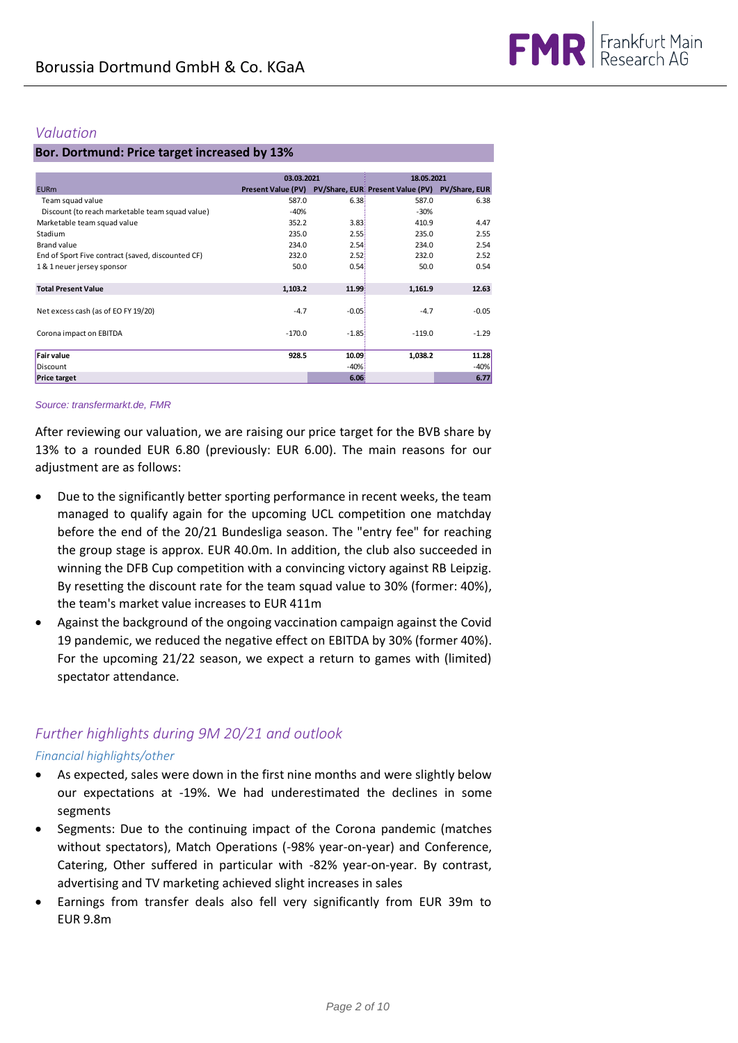## *Valuation*

## **Bor. Dortmund: Price target increased by 13%**

|                                                   | 03.03.2021                |         | 18.05.2021                        |               |
|---------------------------------------------------|---------------------------|---------|-----------------------------------|---------------|
| <b>EURm</b>                                       | <b>Present Value (PV)</b> |         | PV/Share, EUR: Present Value (PV) | PV/Share, EUR |
| Team squad value                                  | 587.0                     | 6.381   | 587.0                             | 6.38          |
| Discount (to reach marketable team squad value)   | $-40%$                    |         | $-30%$                            |               |
| Marketable team squad value                       | 352.2                     | 3.83    | 410.9                             | 4.47          |
| Stadium                                           | 235.0                     | 2.55    | 235.0                             | 2.55          |
| Brand value                                       | 234.0                     | 2.54    | 234.0                             | 2.54          |
| End of Sport Five contract (saved, discounted CF) | 232.0                     | 2.52    | 232.0                             | 2.52          |
| 1 & 1 neuer jersey sponsor                        | 50.0                      | 0.54    | 50.0                              | 0.54          |
|                                                   |                           |         |                                   |               |
| <b>Total Present Value</b>                        | 1,103.2                   | 11.99   | 1,161.9                           | 12.63         |
|                                                   |                           |         |                                   |               |
| Net excess cash (as of EO FY 19/20)               | $-4.7$                    | $-0.05$ | $-4.7$                            | $-0.05$       |
|                                                   |                           |         |                                   |               |
| Corona impact on EBITDA                           | $-170.0$                  | $-1.85$ | $-119.0$                          | $-1.29$       |
|                                                   |                           |         |                                   |               |
| <b>Fair value</b>                                 | 928.5                     | 10.09   | 1,038.2                           | 11.28         |
| Discount                                          |                           | $-40%$  |                                   | -40%          |
| <b>Price target</b>                               |                           | 6.06%   |                                   | 6.77          |

### *Source: transfermarkt.de, FMR*

After reviewing our valuation, we are raising our price target for the BVB share by 13% to a rounded EUR 6.80 (previously: EUR 6.00). The main reasons for our adjustment are as follows:

- Due to the significantly better sporting performance in recent weeks, the team managed to qualify again for the upcoming UCL competition one matchday before the end of the 20/21 Bundesliga season. The "entry fee" for reaching the group stage is approx. EUR 40.0m. In addition, the club also succeeded in winning the DFB Cup competition with a convincing victory against RB Leipzig. By resetting the discount rate for the team squad value to 30% (former: 40%), the team's market value increases to EUR 411m
- Against the background of the ongoing vaccination campaign against the Covid 19 pandemic, we reduced the negative effect on EBITDA by 30% (former 40%). For the upcoming 21/22 season, we expect a return to games with (limited) spectator attendance.

## *Further highlights during 9M 20/21 and outlook*

## *Financial highlights/other*

- As expected, sales were down in the first nine months and were slightly below our expectations at -19%. We had underestimated the declines in some segments
- Segments: Due to the continuing impact of the Corona pandemic (matches without spectators), Match Operations (-98% year-on-year) and Conference, Catering, Other suffered in particular with -82% year-on-year. By contrast, advertising and TV marketing achieved slight increases in sales
- Earnings from transfer deals also fell very significantly from EUR 39m to EUR 9.8m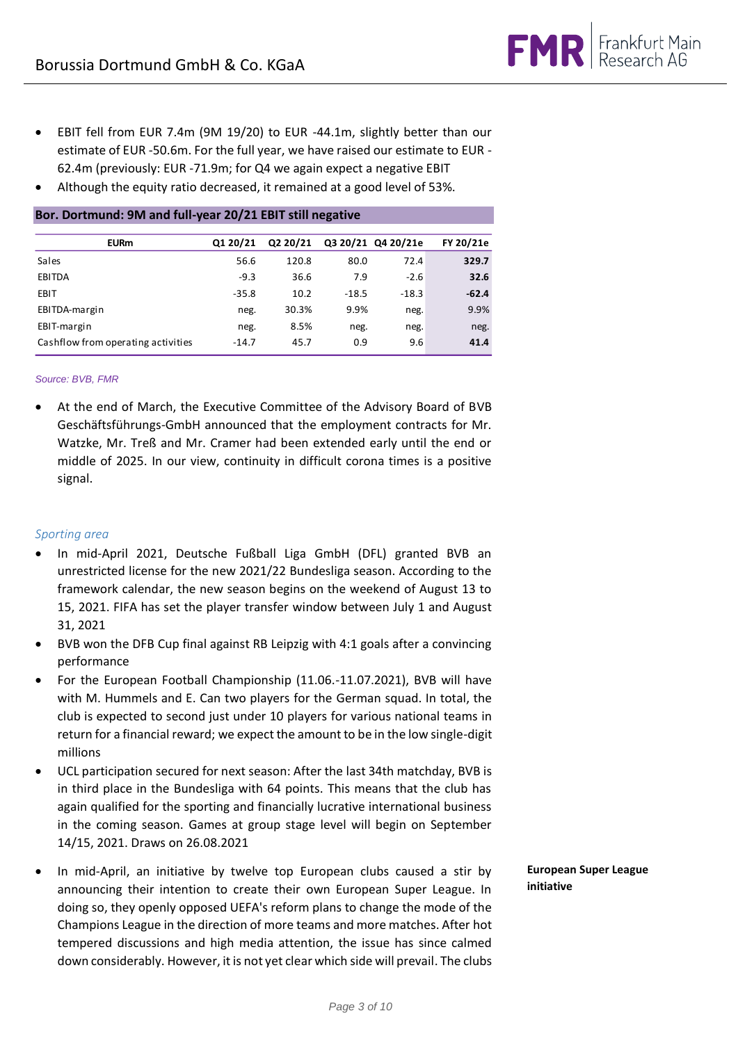- EBIT fell from EUR 7.4m (9M 19/20) to EUR -44.1m, slightly better than our estimate of EUR -50.6m. For the full year, we have raised our estimate to EUR - 62.4m (previously: EUR -71.9m; for Q4 we again expect a negative EBIT
- Although the equity ratio decreased, it remained at a good level of 53%.

| <b>EURm</b>                                                                                                                                                                                                                                                                                                                                                                                                                                                                            | Q1 20/21        | Q2 20/21      |             | Q3 20/21 Q4 20/21e | FY 20/21e     |
|----------------------------------------------------------------------------------------------------------------------------------------------------------------------------------------------------------------------------------------------------------------------------------------------------------------------------------------------------------------------------------------------------------------------------------------------------------------------------------------|-----------------|---------------|-------------|--------------------|---------------|
|                                                                                                                                                                                                                                                                                                                                                                                                                                                                                        |                 |               |             |                    |               |
| Sales<br><b>EBITDA</b>                                                                                                                                                                                                                                                                                                                                                                                                                                                                 | 56.6<br>$-9.3$  | 120.8<br>36.6 | 80.0<br>7.9 | 72.4<br>$-2.6$     | 329.7<br>32.6 |
| EBIT                                                                                                                                                                                                                                                                                                                                                                                                                                                                                   | $-35.8$         | 10.2          | $-18.5$     | $-18.3$            | $-62.4$       |
|                                                                                                                                                                                                                                                                                                                                                                                                                                                                                        |                 | 30.3%         | 9.9%        |                    | 9.9%          |
| EBITDA-margin<br>EBIT-margin                                                                                                                                                                                                                                                                                                                                                                                                                                                           | neg.            | 8.5%          |             | neg.               |               |
| Cashflow from operating activities                                                                                                                                                                                                                                                                                                                                                                                                                                                     | neg.<br>$-14.7$ | 45.7          | neg.<br>0.9 | neg.<br>9.6        | neg.<br>41.4  |
|                                                                                                                                                                                                                                                                                                                                                                                                                                                                                        |                 |               |             |                    |               |
| Source: BVB, FMR                                                                                                                                                                                                                                                                                                                                                                                                                                                                       |                 |               |             |                    |               |
| At the end of March, the Executive Committee of the Advisory Board of BVB<br>Geschäftsführungs-GmbH announced that the employment contracts for Mr.<br>Watzke, Mr. Treß and Mr. Cramer had been extended early until the end or<br>middle of 2025. In our view, continuity in difficult corona times is a positive<br>signal.                                                                                                                                                          |                 |               |             |                    |               |
| Sporting area                                                                                                                                                                                                                                                                                                                                                                                                                                                                          |                 |               |             |                    |               |
| In mid-April 2021, Deutsche Fußball Liga GmbH (DFL) granted BVB an<br>unrestricted license for the new 2021/22 Bundesliga season. According to the<br>framework calendar, the new season begins on the weekend of August 13 to<br>15, 2021. FIFA has set the player transfer window between July 1 and August<br>31, 2021                                                                                                                                                              |                 |               |             |                    |               |
| BVB won the DFB Cup final against RB Leipzig with 4:1 goals after a convincing<br>performance                                                                                                                                                                                                                                                                                                                                                                                          |                 |               |             |                    |               |
| For the European Football Championship (11.06.-11.07.2021), BVB will have<br>٠<br>with M. Hummels and E. Can two players for the German squad. In total, the<br>club is expected to second just under 10 players for various national teams in<br>return for a financial reward; we expect the amount to be in the low single-digit<br>millions                                                                                                                                        |                 |               |             |                    |               |
| UCL participation secured for next season: After the last 34th matchday, BVB is<br>in third place in the Bundesliga with 64 points. This means that the club has<br>again qualified for the sporting and financially lucrative international business<br>in the coming season. Games at group stage level will begin on September<br>14/15, 2021. Draws on 26.08.2021                                                                                                                  |                 |               |             |                    |               |
| In mid-April, an initiative by twelve top European clubs caused a stir by<br>announcing their intention to create their own European Super League. In<br>doing so, they openly opposed UEFA's reform plans to change the mode of the<br>Champions League in the direction of more teams and more matches. After hot<br>tempered discussions and high media attention, the issue has since calmed<br>down considerably. However, it is not yet clear which side will prevail. The clubs |                 |               |             |                    |               |

## **Bor. Dortmund: 9M and full-year 20/21 EBIT still negative**

## *Source: BVB, FMR*

## *Sporting area*

- In mid-April 2021, Deutsche Fußball Liga GmbH (DFL) granted BVB an unrestricted license for the new 2021/22 Bundesliga season. According to the framework calendar, the new season begins on the weekend of August 13 to 15, 2021. FIFA has set the player transfer window between July 1 and August 31, 2021
- BVB won the DFB Cup final against RB Leipzig with 4:1 goals after a convincing performance
- For the European Football Championship (11.06.-11.07.2021), BVB will have with M. Hummels and E. Can two players for the German squad. In total, the club is expected to second just under 10 players for various national teams in return for a financial reward; we expect the amount to be in the low single-digit millions
- UCL participation secured for next season: After the last 34th matchday, BVB is in third place in the Bundesliga with 64 points. This means that the club has again qualified for the sporting and financially lucrative international business in the coming season. Games at group stage level will begin on September 14/15, 2021. Draws on 26.08.2021
- In mid-April, an initiative by twelve top European clubs caused a stir by announcing their intention to create their own European Super League. In doing so, they openly opposed UEFA's reform plans to change the mode of the Champions League in the direction of more teams and more matches. After hot tempered discussions and high media attention, the issue has since calmed

**European Super League initiative**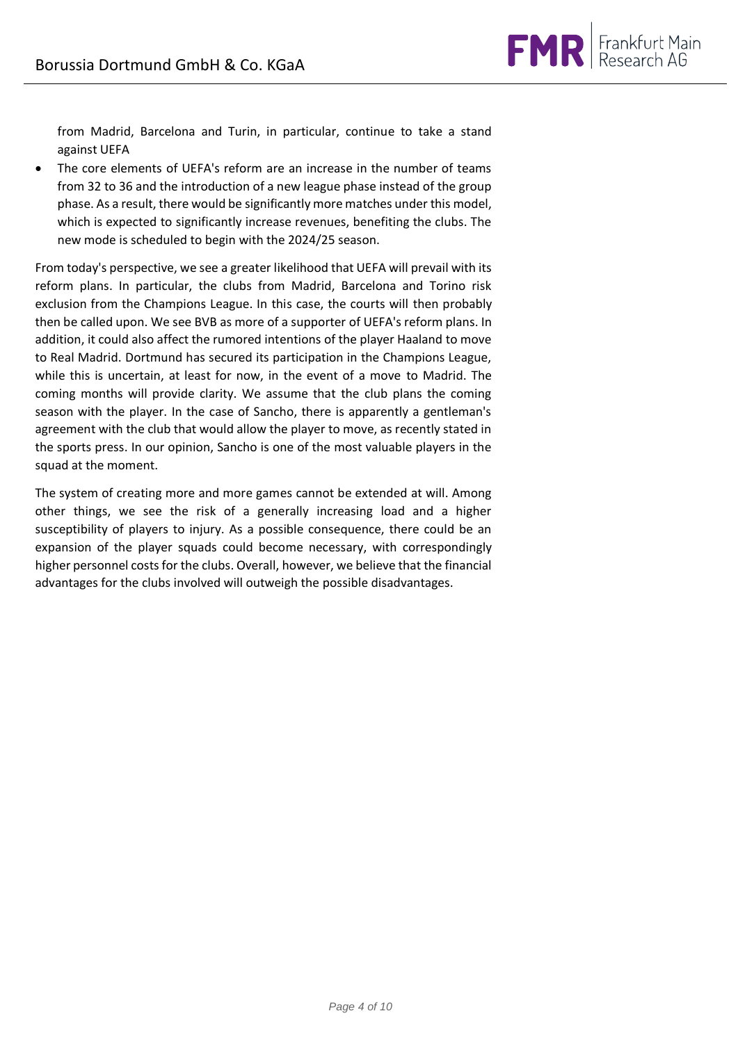

from Madrid, Barcelona and Turin, in particular, continue to take a stand against UEFA

 The core elements of UEFA's reform are an increase in the number of teams from 32 to 36 and the introduction of a new league phase instead of the group phase. As a result, there would be significantly more matches under this model, which is expected to significantly increase revenues, benefiting the clubs. The new mode is scheduled to begin with the 2024/25 season.

From today's perspective, we see a greater likelihood that UEFA will prevail with its reform plans. In particular, the clubs from Madrid, Barcelona and Torino risk exclusion from the Champions League. In this case, the courts will then probably then be called upon. We see BVB as more of a supporter of UEFA's reform plans. In addition, it could also affect the rumored intentions of the player Haaland to move to Real Madrid. Dortmund has secured its participation in the Champions League, while this is uncertain, at least for now, in the event of a move to Madrid. The coming months will provide clarity. We assume that the club plans the coming season with the player. In the case of Sancho, there is apparently a gentleman's agreement with the club that would allow the player to move, as recently stated in the sports press. In our opinion, Sancho is one of the most valuable players in the squad at the moment.

The system of creating more and more games cannot be extended at will. Among other things, we see the risk of a generally increasing load and a higher susceptibility of players to injury. As a possible consequence, there could be an expansion of the player squads could become necessary, with correspondingly higher personnel costs for the clubs. Overall, however, we believe that the financial advantages for the clubs involved will outweigh the possible disadvantages.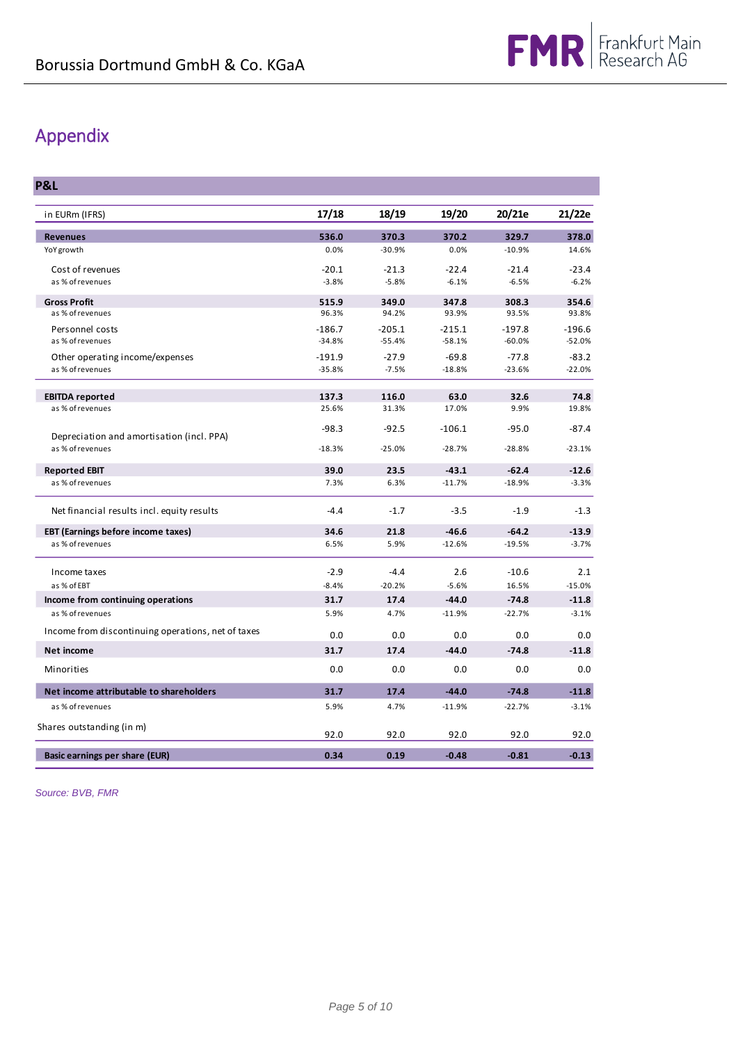## Appendix

**P&L**

| in EURm (IFRS)                                     | 17/18    | 18/19    | 19/20    | 20/21e   | 21/22e   |
|----------------------------------------------------|----------|----------|----------|----------|----------|
| <b>Revenues</b>                                    | 536.0    | 370.3    | 370.2    | 329.7    | 378.0    |
| YoY growth                                         | 0.0%     | $-30.9%$ | 0.0%     | $-10.9%$ | 14.6%    |
| Cost of revenues                                   | $-20.1$  | $-21.3$  | $-22.4$  | $-21.4$  | $-23.4$  |
| as % of revenues                                   | $-3.8%$  | $-5.8%$  | $-6.1%$  | $-6.5%$  | $-6.2%$  |
| <b>Gross Profit</b>                                | 515.9    | 349.0    | 347.8    | 308.3    | 354.6    |
| as % of revenues                                   | 96.3%    | 94.2%    | 93.9%    | 93.5%    | 93.8%    |
| Personnel costs                                    | $-186.7$ | $-205.1$ | $-215.1$ | $-197.8$ | $-196.6$ |
| as % of revenues                                   | $-34.8%$ | $-55.4%$ | $-58.1%$ | $-60.0%$ | $-52.0%$ |
| Other operating income/expenses                    | $-191.9$ | $-27.9$  | $-69.8$  | $-77.8$  | $-83.2$  |
| as % of revenues                                   | $-35.8%$ | $-7.5%$  | $-18.8%$ | $-23.6%$ | $-22.0%$ |
| <b>EBITDA reported</b>                             | 137.3    | 116.0    | 63.0     | 32.6     | 74.8     |
| as % of revenues                                   | 25.6%    | 31.3%    | 17.0%    | 9.9%     | 19.8%    |
|                                                    | $-98.3$  | $-92.5$  | $-106.1$ | $-95.0$  | $-87.4$  |
| Depreciation and amortisation (incl. PPA)          |          |          |          |          |          |
| as % of revenues                                   | $-18.3%$ | $-25.0%$ | $-28.7%$ | $-28.8%$ | $-23.1%$ |
| <b>Reported EBIT</b>                               | 39.0     | 23.5     | $-43.1$  | $-62.4$  | $-12.6$  |
| as % of revenues                                   | 7.3%     | 6.3%     | $-11.7%$ | $-18.9%$ | $-3.3%$  |
| Net financial results incl. equity results         | $-4.4$   | $-1.7$   | $-3.5$   | $-1.9$   | $-1.3$   |
| <b>EBT (Earnings before income taxes)</b>          | 34.6     | 21.8     | $-46.6$  | $-64.2$  | $-13.9$  |
| as % of revenues                                   | 6.5%     | 5.9%     | $-12.6%$ | $-19.5%$ | $-3.7%$  |
| Income taxes                                       | $-2.9$   | $-4.4$   | 2.6      | $-10.6$  | 2.1      |
| as % of EBT                                        | $-8.4%$  | $-20.2%$ | $-5.6%$  | 16.5%    | $-15.0%$ |
| Income from continuing operations                  | 31.7     | 17.4     | $-44.0$  | $-74.8$  | $-11.8$  |
| as % of revenues                                   | 5.9%     | 4.7%     | $-11.9%$ | $-22.7%$ | $-3.1%$  |
| Income from discontinuing operations, net of taxes | 0.0      | 0.0      | 0.0      | 0.0      | 0.0      |
| <b>Net income</b>                                  | 31.7     | 17.4     | $-44.0$  | $-74.8$  | $-11.8$  |
| Minorities                                         | 0.0      | 0.0      | 0.0      | 0.0      | 0.0      |
| Net income attributable to shareholders            | 31.7     | 17.4     | $-44.0$  | $-74.8$  | $-11.8$  |
| as % of revenues                                   | 5.9%     | 4.7%     | $-11.9%$ | $-22.7%$ | $-3.1%$  |
| Shares outstanding (in m)                          |          |          |          |          |          |
|                                                    | 92.0     | 92.0     | 92.0     | 92.0     | 92.0     |
| Basic earnings per share (EUR)                     | 0.34     | 0.19     | $-0.48$  | $-0.81$  | $-0.13$  |

*Source: BVB, FMR*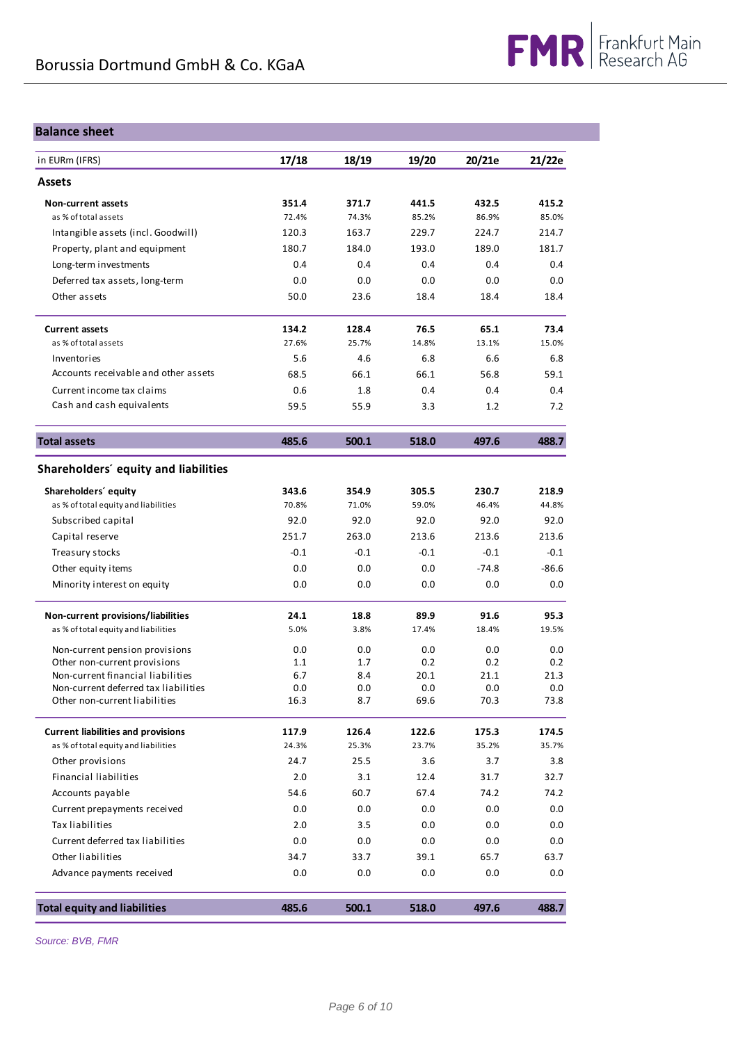## **Balance sheet**

| in EURm (IFRS)                                                            | 17/18      | 18/19      | 19/20       | 20/21e      | 21/22e      |
|---------------------------------------------------------------------------|------------|------------|-------------|-------------|-------------|
| <b>Assets</b>                                                             |            |            |             |             |             |
| <b>Non-current assets</b>                                                 | 351.4      | 371.7      | 441.5       | 432.5       | 415.2       |
| as % of total assets                                                      | 72.4%      | 74.3%      | 85.2%       | 86.9%       | 85.0%       |
| Intangible assets (incl. Goodwill)                                        | 120.3      | 163.7      | 229.7       | 224.7       | 214.7       |
| Property, plant and equipment                                             | 180.7      | 184.0      | 193.0       | 189.0       | 181.7       |
| Long-term investments                                                     | 0.4        | 0.4        | 0.4         | 0.4         | 0.4         |
| Deferred tax assets, long-term                                            | 0.0        | 0.0        | 0.0         | 0.0         | 0.0         |
| Other assets                                                              | 50.0       | 23.6       | 18.4        | 18.4        | 18.4        |
| <b>Current assets</b>                                                     | 134.2      | 128.4      | 76.5        | 65.1        | 73.4        |
| as % of total assets                                                      | 27.6%      | 25.7%      | 14.8%       | 13.1%       | 15.0%       |
| Inventories                                                               | 5.6        | 4.6        | 6.8         | 6.6         | 6.8         |
| Accounts receivable and other assets                                      | 68.5       | 66.1       | 66.1        | 56.8        | 59.1        |
| Current income tax claims                                                 | 0.6        | 1.8        | 0.4         | 0.4         | 0.4         |
| Cash and cash equivalents                                                 | 59.5       | 55.9       | 3.3         | 1.2         | 7.2         |
| <b>Total assets</b>                                                       | 485.6      | 500.1      | 518.0       | 497.6       | 488.7       |
| Shareholders' equity and liabilities                                      |            |            |             |             |             |
| Shareholders' equity                                                      | 343.6      | 354.9      | 305.5       | 230.7       | 218.9       |
| as % of total equity and liabilities                                      | 70.8%      | 71.0%      | 59.0%       | 46.4%       | 44.8%       |
| Subscribed capital                                                        | 92.0       | 92.0       | 92.0        | 92.0        | 92.0        |
| Capital reserve                                                           | 251.7      | 263.0      | 213.6       | 213.6       | 213.6       |
| Treasury stocks                                                           | $-0.1$     | $-0.1$     | $-0.1$      | $-0.1$      | $-0.1$      |
| Other equity items                                                        | 0.0        | 0.0        | 0.0         | $-74.8$     | $-86.6$     |
| Minority interest on equity                                               | 0.0        | 0.0        | 0.0         | 0.0         | 0.0         |
| Non-current provisions/liabilities                                        | 24.1       | 18.8       | 89.9        | 91.6        | 95.3        |
| as % of total equity and liabilities                                      | 5.0%       | 3.8%       | 17.4%       | 18.4%       | 19.5%       |
| Non-current pension provisions                                            | 0.0        | 0.0        | 0.0         | 0.0         | 0.0         |
| Other non-current provisions                                              | 1.1        | 1.7        | 0.2         | 0.2         | 0.2         |
| Non-current financial liabilities<br>Non-current deferred tax liabilities | 6.7<br>0.0 | 8.4<br>0.0 | 20.1<br>0.0 | 21.1<br>0.0 | 21.3<br>0.0 |
| Other non-current liabilities                                             | 16.3       | 8.7        | 69.6        | 70.3        | 73.8        |
| <b>Current liabilities and provisions</b>                                 | 117.9      | 126.4      | 122.6       | 175.3       | 174.5       |
| as % of total equity and liabilities                                      | 24.3%      | 25.3%      | 23.7%       | 35.2%       | 35.7%       |
| Other provisions                                                          | 24.7       | 25.5       | 3.6         | 3.7         | 3.8         |
| <b>Financial liabilities</b>                                              | 2.0        | 3.1        | 12.4        | 31.7        | 32.7        |
| Accounts payable                                                          | 54.6       | 60.7       | 67.4        | 74.2        | 74.2        |
| Current prepayments received                                              | 0.0        | 0.0        | 0.0         | 0.0         | 0.0         |
| Tax liabilities                                                           | 2.0        | 3.5        | 0.0         | 0.0         | 0.0         |
| Current deferred tax liabilities                                          | 0.0        | 0.0        | 0.0         | 0.0         | 0.0         |
| Other liabilities                                                         | 34.7       | 33.7       | 39.1        | 65.7        | 63.7        |
| Advance payments received                                                 | 0.0        | 0.0        | 0.0         | 0.0         | 0.0         |
| <b>Total equity and liabilities</b>                                       | 485.6      | 500.1      | 518.0       | 497.6       | 488.7       |

*Source: BVB, FMR*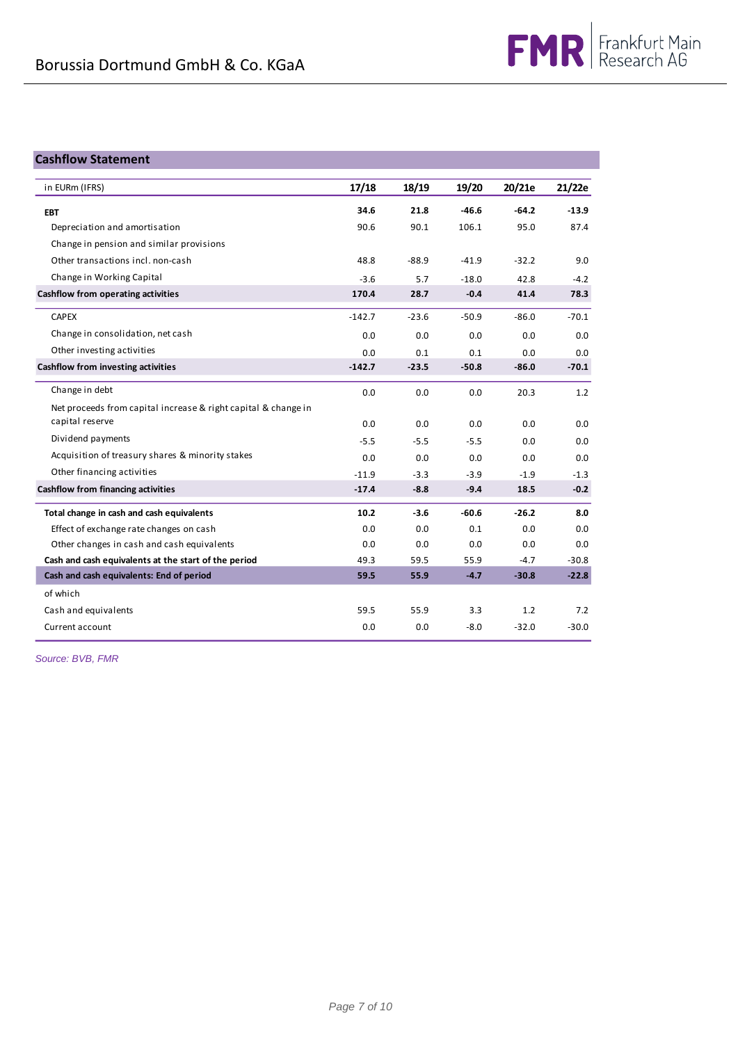## **Cashflow Statement**

| in EURm (IFRS)                                                 | 17/18    | 18/19   | 19/20   | 20/21e  | 21/22e  |
|----------------------------------------------------------------|----------|---------|---------|---------|---------|
| <b>EBT</b>                                                     | 34.6     | 21.8    | $-46.6$ | $-64.2$ | $-13.9$ |
| Depreciation and amortisation                                  | 90.6     | 90.1    | 106.1   | 95.0    | 87.4    |
| Change in pension and similar provisions                       |          |         |         |         |         |
| Other transactions incl. non-cash                              | 48.8     | $-88.9$ | $-41.9$ | $-32.2$ | 9.0     |
| Change in Working Capital                                      | $-3.6$   | 5.7     | $-18.0$ | 42.8    | $-4.2$  |
| <b>Cashflow from operating activities</b>                      | 170.4    | 28.7    | $-0.4$  | 41.4    | 78.3    |
| <b>CAPEX</b>                                                   | $-142.7$ | $-23.6$ | $-50.9$ | $-86.0$ | $-70.1$ |
| Change in consolidation, net cash                              | 0.0      | 0.0     | 0.0     | 0.0     | 0.0     |
| Other investing activities                                     | 0.0      | 0.1     | 0.1     | 0.0     | 0.0     |
| <b>Cashflow from investing activities</b>                      | $-142.7$ | $-23.5$ | $-50.8$ | $-86.0$ | $-70.1$ |
| Change in debt                                                 | 0.0      | 0.0     | 0.0     | 20.3    | 1.2     |
| Net proceeds from capital increase & right capital & change in |          |         |         |         |         |
| capital reserve                                                | 0.0      | 0.0     | 0.0     | 0.0     | 0.0     |
| Dividend payments                                              | $-5.5$   | $-5.5$  | $-5.5$  | 0.0     | 0.0     |
| Acquisition of treasury shares & minority stakes               | 0.0      | 0.0     | 0.0     | 0.0     | 0.0     |
| Other financing activities                                     | $-11.9$  | $-3.3$  | $-3.9$  | $-1.9$  | $-1.3$  |
| Cashflow from financing activities                             | $-17.4$  | $-8.8$  | $-9.4$  | 18.5    | $-0.2$  |
| Total change in cash and cash equivalents                      | 10.2     | $-3.6$  | $-60.6$ | $-26.2$ | 8.0     |
| Effect of exchange rate changes on cash                        | 0.0      | 0.0     | 0.1     | 0.0     | 0.0     |
| Other changes in cash and cash equivalents                     | 0.0      | 0.0     | 0.0     | 0.0     | 0.0     |
| Cash and cash equivalents at the start of the period           | 49.3     | 59.5    | 55.9    | $-4.7$  | $-30.8$ |
| Cash and cash equivalents: End of period                       | 59.5     | 55.9    | $-4.7$  | $-30.8$ | $-22.8$ |
| of which                                                       |          |         |         |         |         |
| Cash and equivalents                                           | 59.5     | 55.9    | 3.3     | 1.2     | 7.2     |
| Current account                                                | 0.0      | 0.0     | $-8.0$  | $-32.0$ | $-30.0$ |

*Source: BVB, FMR*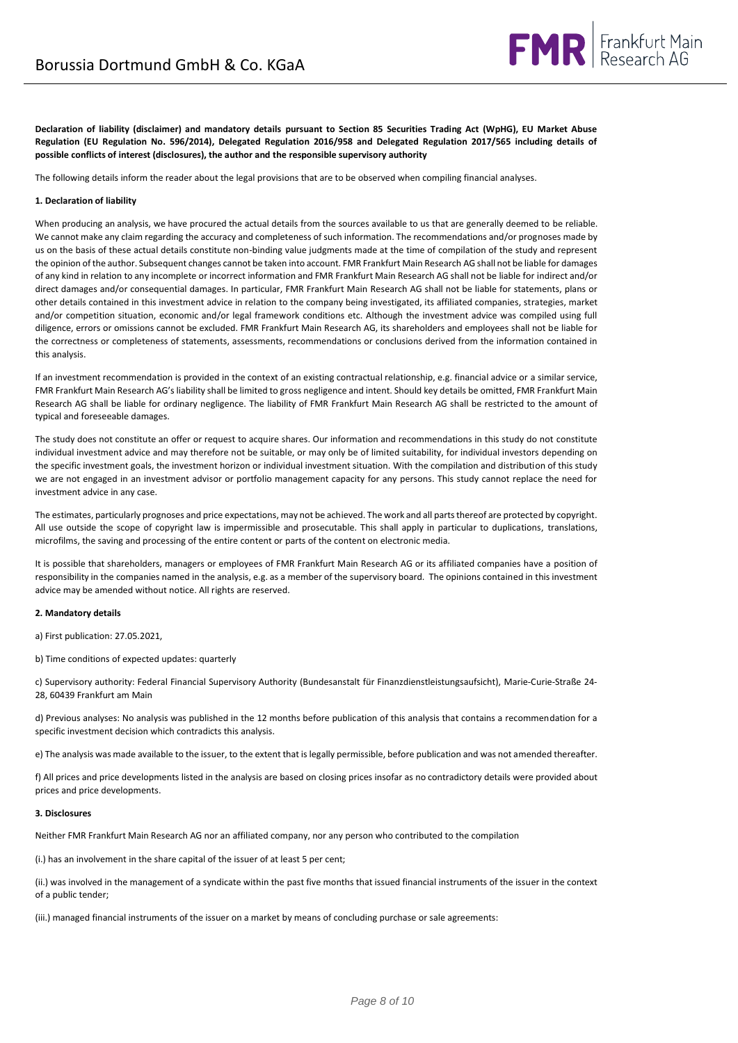

**Declaration of liability (disclaimer) and mandatory details pursuant to Section 85 Securities Trading Act (WpHG), EU Market Abuse Regulation (EU Regulation No. 596/2014), Delegated Regulation 2016/958 and Delegated Regulation 2017/565 including details of possible conflicts of interest (disclosures), the author and the responsible supervisory authority**

The following details inform the reader about the legal provisions that are to be observed when compiling financial analyses.

### **1. Declaration of liability**

When producing an analysis, we have procured the actual details from the sources available to us that are generally deemed to be reliable. We cannot make any claim regarding the accuracy and completeness of such information. The recommendations and/or prognoses made by us on the basis of these actual details constitute non-binding value judgments made at the time of compilation of the study and represent the opinion of the author. Subsequent changes cannot be taken into account. FMR Frankfurt Main Research AG shall not be liable for damages of any kind in relation to any incomplete or incorrect information and FMR Frankfurt Main Research AG shall not be liable for indirect and/or direct damages and/or consequential damages. In particular, FMR Frankfurt Main Research AG shall not be liable for statements, plans or other details contained in this investment advice in relation to the company being investigated, its affiliated companies, strategies, market and/or competition situation, economic and/or legal framework conditions etc. Although the investment advice was compiled using full diligence, errors or omissions cannot be excluded. FMR Frankfurt Main Research AG, its shareholders and employees shall not be liable for the correctness or completeness of statements, assessments, recommendations or conclusions derived from the information contained in this analysis.

If an investment recommendation is provided in the context of an existing contractual relationship, e.g. financial advice or a similar service, FMR Frankfurt Main Research AG's liability shall be limited to gross negligence and intent. Should key details be omitted, FMR Frankfurt Main Research AG shall be liable for ordinary negligence. The liability of FMR Frankfurt Main Research AG shall be restricted to the amount of typical and foreseeable damages.

The study does not constitute an offer or request to acquire shares. Our information and recommendations in this study do not constitute individual investment advice and may therefore not be suitable, or may only be of limited suitability, for individual investors depending on the specific investment goals, the investment horizon or individual investment situation. With the compilation and distribution of this study we are not engaged in an investment advisor or portfolio management capacity for any persons. This study cannot replace the need for investment advice in any case.

The estimates, particularly prognoses and price expectations, may not be achieved. The work and all parts thereof are protected by copyright. All use outside the scope of copyright law is impermissible and prosecutable. This shall apply in particular to duplications, translations, microfilms, the saving and processing of the entire content or parts of the content on electronic media.

It is possible that shareholders, managers or employees of FMR Frankfurt Main Research AG or its affiliated companies have a position of responsibility in the companies named in the analysis, e.g. as a member of the supervisory board. The opinions contained in this investment advice may be amended without notice. All rights are reserved.

#### **2. Mandatory details**

a) First publication: 27.05.2021,

b) Time conditions of expected updates: quarterly

c) Supervisory authority: Federal Financial Supervisory Authority (Bundesanstalt für Finanzdienstleistungsaufsicht), Marie-Curie-Straße 24- 28, 60439 Frankfurt am Main

d) Previous analyses: No analysis was published in the 12 months before publication of this analysis that contains a recommendation for a specific investment decision which contradicts this analysis.

e) The analysis was made available to the issuer, to the extent that is legally permissible, before publication and was not amended thereafter.

f) All prices and price developments listed in the analysis are based on closing prices insofar as no contradictory details were provided about prices and price developments.

### **3. Disclosures**

Neither FMR Frankfurt Main Research AG nor an affiliated company, nor any person who contributed to the compilation

(i.) has an involvement in the share capital of the issuer of at least 5 per cent;

(ii.) was involved in the management of a syndicate within the past five months that issued financial instruments of the issuer in the context of a public tender;

(iii.) managed financial instruments of the issuer on a market by means of concluding purchase or sale agreements: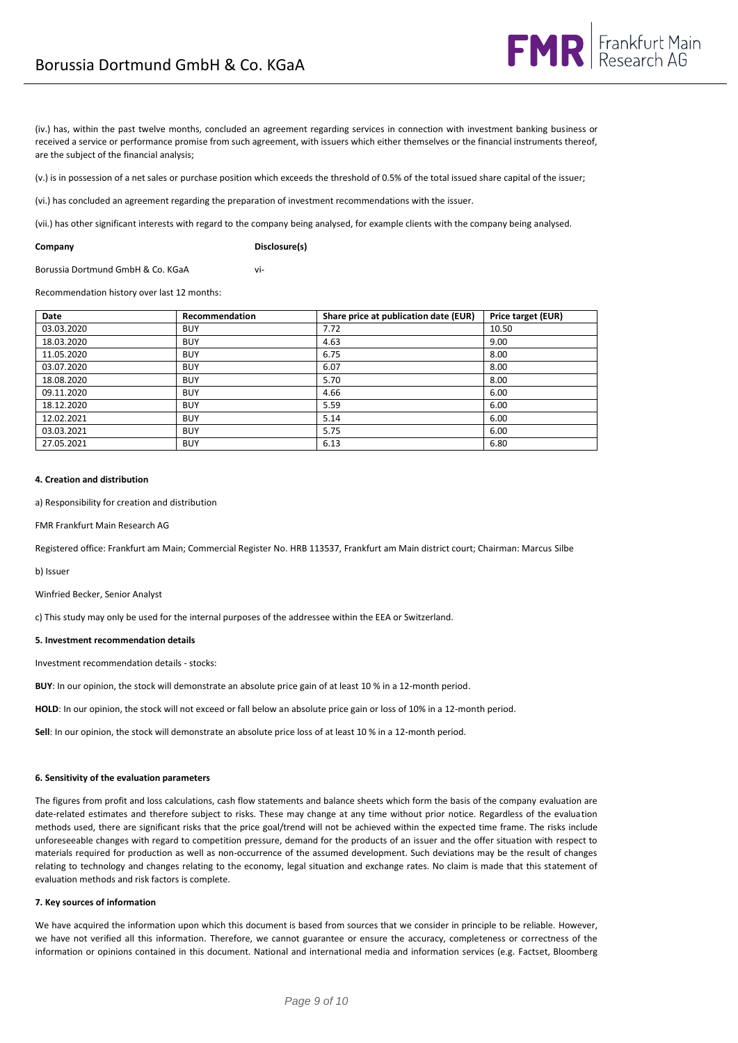(iv.) has, within the past twelve months, concluded an agreement regarding services in connection with investment banking business or received a service or performance promise from such agreement, with issuers which either themselves or the financial instruments thereof, are the subject of the financial analysis;

(v.) is in possession of a net sales or purchase position which exceeds the threshold of 0.5% of the total issued share capital of the issuer;

(vi.) has concluded an agreement regarding the preparation of investment recommendations with the issuer.

(vii.) has other significant interests with regard to the company being analysed, for example clients with the company being analysed.

**Company Disclosure(s)**

Borussia Dortmund GmbH & Co. KGaA vi-

Recommendation history over last 12 months:

| Date       | Recommendation | Share price at publication date (EUR) | Price target (EUR) |
|------------|----------------|---------------------------------------|--------------------|
| 03.03.2020 | <b>BUY</b>     | 7.72                                  | 10.50              |
| 18.03.2020 | <b>BUY</b>     | 4.63                                  | 9.00               |
| 11.05.2020 | <b>BUY</b>     | 6.75                                  | 8.00               |
| 03.07.2020 | <b>BUY</b>     | 6.07                                  | 8.00               |
| 18.08.2020 | <b>BUY</b>     | 5.70                                  | 8.00               |
| 09.11.2020 | <b>BUY</b>     | 4.66                                  | 6.00               |
| 18.12.2020 | <b>BUY</b>     | 5.59                                  | 6.00               |
| 12.02.2021 | <b>BUY</b>     | 5.14                                  | 6.00               |
| 03.03.2021 | <b>BUY</b>     | 5.75                                  | 6.00               |
| 27.05.2021 | <b>BUY</b>     | 6.13                                  | 6.80               |

### **4. Creation and distribution**

a) Responsibility for creation and distribution

FMR Frankfurt Main Research AG

Registered office: Frankfurt am Main; Commercial Register No. HRB 113537, Frankfurt am Main district court; Chairman: Marcus Silbe

b) Issuer

Winfried Becker, Senior Analyst

c) This study may only be used for the internal purposes of the addressee within the EEA or Switzerland.

#### **5. Investment recommendation details**

Investment recommendation details - stocks:

**BUY**: In our opinion, the stock will demonstrate an absolute price gain of at least 10 % in a 12-month period.

**HOLD**: In our opinion, the stock will not exceed or fall below an absolute price gain or loss of 10% in a 12-month period.

**Sell**: In our opinion, the stock will demonstrate an absolute price loss of at least 10 % in a 12-month period.

### **6. Sensitivity of the evaluation parameters**

The figures from profit and loss calculations, cash flow statements and balance sheets which form the basis of the company evaluation are date-related estimates and therefore subject to risks. These may change at any time without prior notice. Regardless of the evaluation methods used, there are significant risks that the price goal/trend will not be achieved within the expected time frame. The risks include unforeseeable changes with regard to competition pressure, demand for the products of an issuer and the offer situation with respect to materials required for production as well as non-occurrence of the assumed development. Such deviations may be the result of changes relating to technology and changes relating to the economy, legal situation and exchange rates. No claim is made that this statement of evaluation methods and risk factors is complete.

### **7. Key sources of information**

We have acquired the information upon which this document is based from sources that we consider in principle to be reliable. However, we have not verified all this information. Therefore, we cannot guarantee or ensure the accuracy, completeness or correctness of the information or opinions contained in this document. National and international media and information services (e.g. Factset, Bloomberg